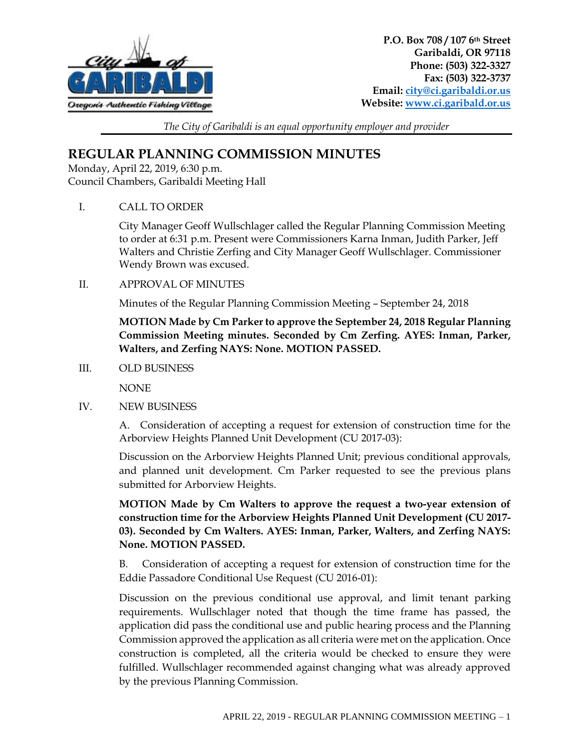

*The City of Garibaldi is an equal opportunity employer and provider*

## **REGULAR PLANNING COMMISSION MINUTES**

Monday, April 22, 2019, 6:30 p.m. Council Chambers, Garibaldi Meeting Hall

I. CALL TO ORDER

City Manager Geoff Wullschlager called the Regular Planning Commission Meeting to order at 6:31 p.m. Present were Commissioners Karna Inman, Judith Parker, Jeff Walters and Christie Zerfing and City Manager Geoff Wullschlager. Commissioner Wendy Brown was excused.

II. APPROVAL OF MINUTES

Minutes of the Regular Planning Commission Meeting – September 24, 2018

**MOTION Made by Cm Parker to approve the September 24, 2018 Regular Planning Commission Meeting minutes. Seconded by Cm Zerfing. AYES: Inman, Parker, Walters, and Zerfing NAYS: None. MOTION PASSED.**

III. OLD BUSINESS

**NONE** 

IV. NEW BUSINESS

A. Consideration of accepting a request for extension of construction time for the Arborview Heights Planned Unit Development (CU 2017-03):

Discussion on the Arborview Heights Planned Unit; previous conditional approvals, and planned unit development. Cm Parker requested to see the previous plans submitted for Arborview Heights.

**MOTION Made by Cm Walters to approve the request a two-year extension of construction time for the Arborview Heights Planned Unit Development (CU 2017- 03). Seconded by Cm Walters. AYES: Inman, Parker, Walters, and Zerfing NAYS: None. MOTION PASSED.**

B. Consideration of accepting a request for extension of construction time for the Eddie Passadore Conditional Use Request (CU 2016-01):

Discussion on the previous conditional use approval, and limit tenant parking requirements. Wullschlager noted that though the time frame has passed, the application did pass the conditional use and public hearing process and the Planning Commission approved the application as all criteria were met on the application. Once construction is completed, all the criteria would be checked to ensure they were fulfilled. Wullschlager recommended against changing what was already approved by the previous Planning Commission.